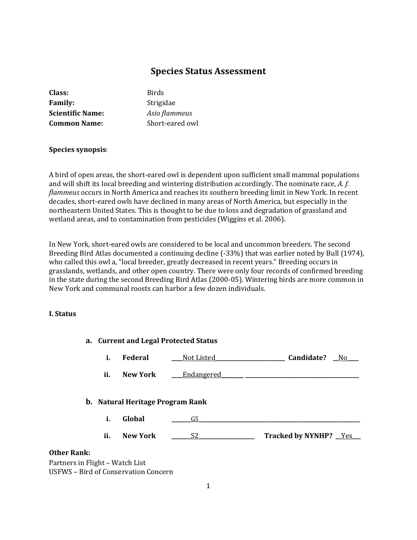# **Species Status Assessment**

| Class:                  | <b>Birds</b>    |
|-------------------------|-----------------|
| <b>Family:</b>          | Strigidae       |
| <b>Scientific Name:</b> | Asio flammeus   |
| <b>Common Name:</b>     | Short-eared owl |
|                         |                 |

# **Species synopsis**:

A bird of open areas, the short-eared owl is dependent upon sufficient small mammal populations and will shift its local breeding and wintering distribution accordingly. The nominate race, *A. f. flammeus* occurs in North America and reaches its southern breeding limit in New York. In recent decades, short-eared owls have declined in many areas of North America, but especially in the northeastern United States. This is thought to be due to loss and degradation of grassland and wetland areas, and to contamination from pesticides (Wiggins et al. 2006).

In New York, short-eared owls are considered to be local and uncommon breeders. The second Breeding Bird Atlas documented a continuing decline (-33%) that was earlier noted by Bull (1974), who called this owl a, "local breeder, greatly decreased in recent years." Breeding occurs in grasslands, wetlands, and other open country. There were only four records of confirmed breeding in the state during the second Breeding Bird Atlas (2000-05). Wintering birds are more common in New York and communal roosts can harbor a few dozen individuals.

#### **I. Status**

|                                             | a. Current and Legal Protected Status   |             |                        |
|---------------------------------------------|-----------------------------------------|-------------|------------------------|
| i.                                          | Federal                                 | Not Listed_ | Candidate?<br>$N$ o    |
| ii.                                         | <b>New York</b>                         | Endangered  |                        |
|                                             | <b>b.</b> Natural Heritage Program Rank |             |                        |
| i.                                          | Global                                  | G5          |                        |
| ii.                                         | <b>New York</b>                         | S2          | Tracked by NYNHP? _Yes |
| <b>Other Rank:</b>                          |                                         |             |                        |
| Partners in Flight - Watch List             |                                         |             |                        |
| <b>USFWS - Bird of Conservation Concern</b> |                                         |             |                        |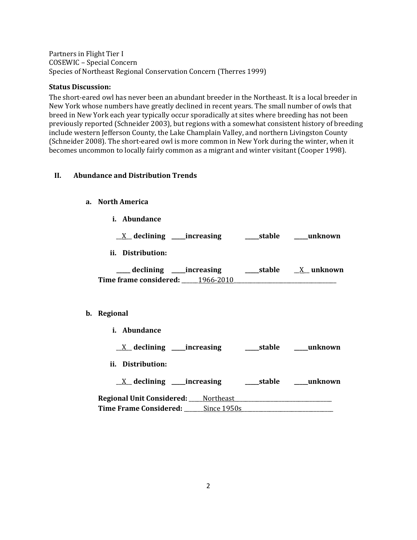Partners in Flight Tier I COSEWIC – Special Concern Species of Northeast Regional Conservation Concern (Therres 1999)

### **Status Discussion:**

The short-eared owl has never been an abundant breeder in the Northeast. It is a local breeder in New York whose numbers have greatly declined in recent years. The small number of owls that breed in New York each year typically occur sporadically at sites where breeding has not been previously reported (Schneider 2003), but regions with a somewhat consistent history of breeding include western Jefferson County, the Lake Champlain Valley, and northern Livingston County (Schneider 2008). The short-eared owl is more common in New York during the winter, when it becomes uncommon to locally fairly common as a migrant and winter visitant (Cooper 1998).

### **II. Abundance and Distribution Trends**

### **a. North America**

**i. Abundance**

\_\_X\_\_ **declining \_\_\_\_\_increasing \_\_\_\_\_stable \_\_\_\_\_unknown**

**ii. Distribution:**

**\_\_\_\_\_ declining \_\_\_\_\_increasing \_\_\_\_\_stable** \_\_X\_\_ **unknown Time frame considered:** \_\_\_\_\_\_1966-2010\_\_\_\_\_\_\_\_\_\_\_\_\_\_\_\_\_\_\_\_\_\_\_\_\_\_\_\_\_\_\_\_\_\_\_\_\_

#### **b. Regional**

**i. Abundance**

\_\_X\_\_ **declining \_\_\_\_\_increasing \_\_\_\_\_stable \_\_\_\_\_unknown**

**ii. Distribution:**

\_\_X\_\_ **declining \_\_\_\_\_increasing \_\_\_\_\_stable \_\_\_\_\_unknown**

**Regional Unit Considered:** \_\_\_\_\_Northeast\_\_\_\_\_\_\_\_\_\_\_\_\_\_\_\_\_\_\_\_\_\_\_\_\_\_\_\_\_\_\_\_\_\_\_ **Time Frame Considered:** Since 1950s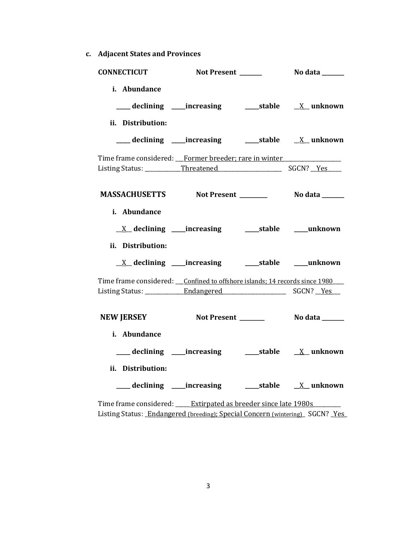**c. Adjacent States and Provinces**

| <b>CONNECTICUT</b>                                                             |                                                            |                 |
|--------------------------------------------------------------------------------|------------------------------------------------------------|-----------------|
| i. Abundance<br>ii. Distribution:                                              |                                                            |                 |
|                                                                                |                                                            |                 |
| Time frame considered: Former breeder; rare in winter                          |                                                            |                 |
|                                                                                |                                                            |                 |
| i. Abundance<br>ii. Distribution:                                              | <u>X</u> declining ____increasing ______stable ____unknown |                 |
|                                                                                |                                                            |                 |
| Time frame considered: ___ Confined to offshore islands; 14 records since 1980 |                                                            |                 |
| NEW JERSEY Not Present _______                                                 |                                                            | No data _______ |
| i. Abundance<br>ii. Distribution:                                              |                                                            |                 |
|                                                                                | ___ declining ____increasing ______stable ___ X__ unknown  |                 |
| Time frame considered: _____ Extirpated as breeder since late 1980s _______    |                                                            |                 |

Listing Status: *Endangered (breeding); Special Concern (wintering) SGCN? Yes*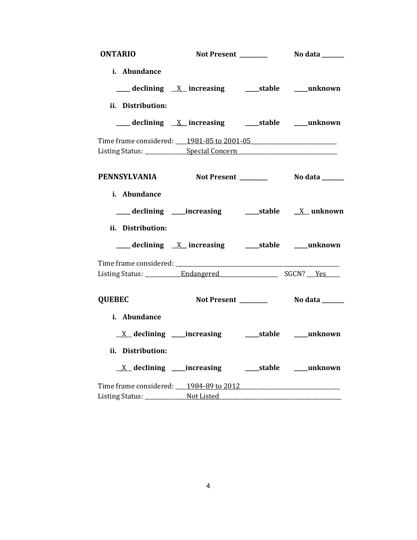| <b>ONTARIO</b>                                                                   |                                                                                             |                 |
|----------------------------------------------------------------------------------|---------------------------------------------------------------------------------------------|-----------------|
| i. Abundance                                                                     |                                                                                             |                 |
|                                                                                  | $\frac{1}{2}$ declining $\frac{X}{X}$ increasing $\frac{1}{2}$ stable $\frac{1}{2}$ unknown |                 |
| ii. Distribution:                                                                |                                                                                             |                 |
|                                                                                  |                                                                                             |                 |
| Time frame considered: 1981-85 to 2001-05                                        |                                                                                             |                 |
| Listing Status: ________________Special Concern_________________________________ |                                                                                             |                 |
| PENNSYLVANIA Not Present _________ No data ______                                |                                                                                             |                 |
| i. Abundance                                                                     |                                                                                             |                 |
|                                                                                  |                                                                                             |                 |
| ii. Distribution:                                                                |                                                                                             |                 |
|                                                                                  |                                                                                             |                 |
|                                                                                  |                                                                                             |                 |
|                                                                                  |                                                                                             |                 |
| <b>QUEBEC</b>                                                                    | Not Present _______                                                                         | No data _______ |
| i. Abundance                                                                     |                                                                                             |                 |
|                                                                                  |                                                                                             |                 |
| ii. Distribution:                                                                |                                                                                             |                 |
|                                                                                  | <u>X</u> declining ____increasing ______stable ____unknown                                  |                 |
|                                                                                  |                                                                                             |                 |
|                                                                                  |                                                                                             |                 |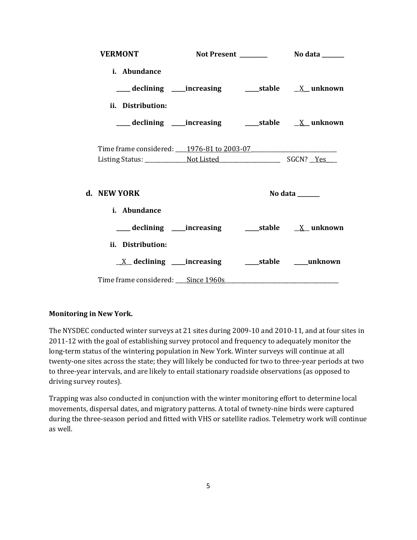| <b>VERMONT</b>                                                                         |  |                              |
|----------------------------------------------------------------------------------------|--|------------------------------|
| <i>i.</i> Abundance                                                                    |  |                              |
|                                                                                        |  |                              |
| ii. Distribution:                                                                      |  |                              |
| ___declining ___increasing ______stable _____X__ unknown                               |  |                              |
|                                                                                        |  |                              |
| Time frame considered: 1976-81 to 2003-07                                              |  |                              |
| d. NEW YORK                                                                            |  | No data ______               |
| <i>i.</i> Abundance                                                                    |  |                              |
|                                                                                        |  |                              |
| ii. Distribution:                                                                      |  |                              |
| $X$ declining _____increasing                                                          |  | ______stable ________unknown |
| Time frame considered: Since 1960s Manuel Allen and Time frame considered: Since 1960s |  |                              |

# **Monitoring in New York.**

The NYSDEC conducted winter surveys at 21 sites during 2009-10 and 2010-11, and at four sites in 2011-12 with the goal of establishing survey protocol and frequency to adequately monitor the long-term status of the wintering population in New York. Winter surveys will continue at all twenty-one sites across the state; they will likely be conducted for two to three-year periods at two to three-year intervals, and are likely to entail stationary roadside observations (as opposed to driving survey routes).

Trapping was also conducted in conjunction with the winter monitoring effort to determine local movements, dispersal dates, and migratory patterns. A total of twnety-nine birds were captured during the three-season period and fitted with VHS or satellite radios. Telemetry work will continue as well.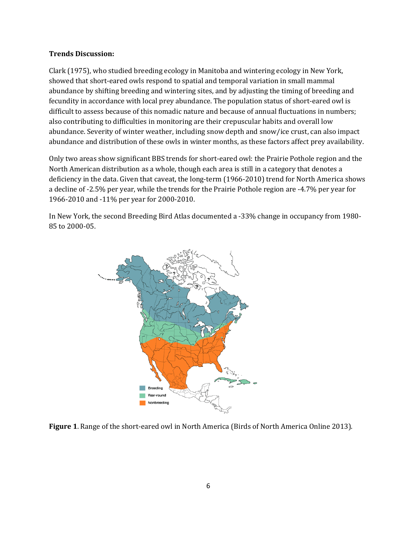#### **Trends Discussion:**

Clark [\(1975\)](http://bna.birds.cornell.edu/bna/species/062/articles/species/062/biblio/bib028), who studied breeding ecology in Manitoba and wintering ecology in New York, showed that short-eared owls respond to spatial and temporal variation in small mammal abundance by shifting breeding and wintering sites, and by adjusting the timing of breeding and fecundity in accordance with local prey abundance. The population status of short-eared owl is difficult to assess because of this nomadic nature and because of annual fluctuations in numbers; also contributing to difficulties in monitoring are their crepuscular habits and overall low abundance. Severity of winter weather, including snow depth and snow/ice crust, can also impact abundance and distribution of these owls in winter months, as these factors affect prey availability.

Only two areas show significant BBS trends for short-eared owl: the Prairie Pothole region and the North American distribution as a whole, though each area is still in a category that denotes a deficiency in the data. Given that caveat, the long-term (1966-2010) trend for North America shows a decline of -2.5% per year, while the trends for the Prairie Pothole region are -4.7% per year for 1966-2010 and -11% per year for 2000-2010.

In New York, the second Breeding Bird Atlas documented a -33% change in occupancy from 1980- 85 to 2000-05.



**Figure 1**. Range of the short-eared owl in North America (Birds of North America Online 2013).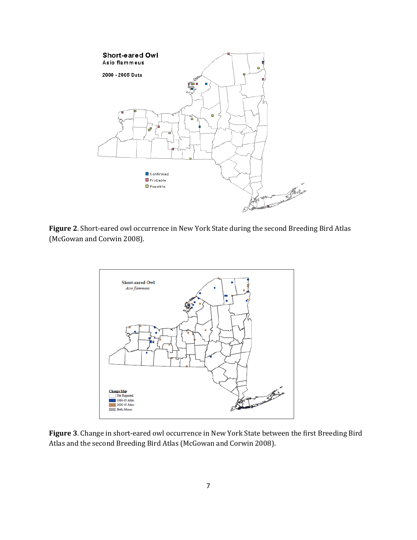

**Figure 2**. Short-eared owl occurrence in New York State during the second Breeding Bird Atlas (McGowan and Corwin 2008).



**Figure 3**. Change in short-eared owl occurrence in New York State between the first Breeding Bird Atlas and the second Breeding Bird Atlas (McGowan and Corwin 2008).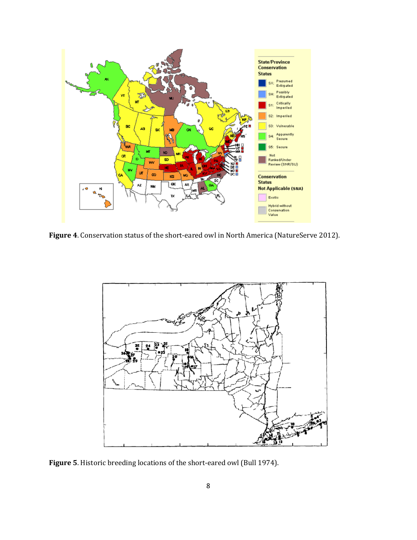

**Figure 4**. Conservation status of the short-eared owl in North America (NatureServe 2012).



**Figure 5**. Historic breeding locations of the short-eared owl (Bull 1974).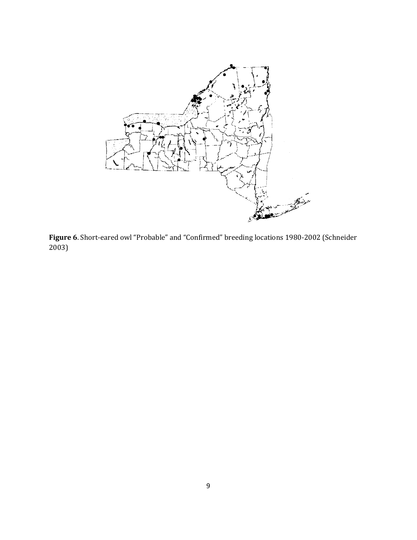

**Figure 6**. Short-eared owl "Probable" and "Confirmed" breeding locations 1980-2002 (Schneider 2003)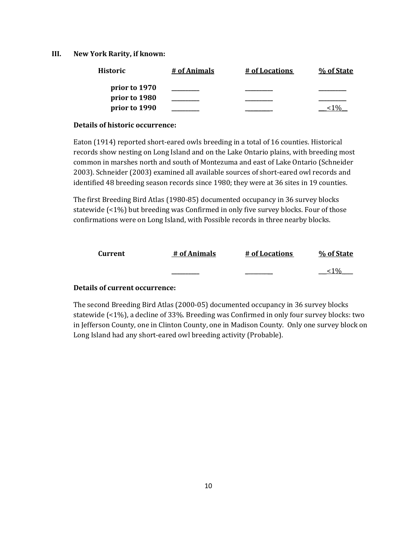### **III. New York Rarity, if known:**

| <b>Historic</b> | # of Animals | # of Locations | % of State |
|-----------------|--------------|----------------|------------|
| prior to 1970   |              |                |            |
| prior to 1980   |              |                |            |
| prior to 1990   |              |                |            |

### **Details of historic occurrence:**

Eaton (1914) reported short-eared owls breeding in a total of 16 counties. Historical records show nesting on Long Island and on the Lake Ontario plains, with breeding most common in marshes north and south of Montezuma and east of Lake Ontario (Schneider 2003). Schneider (2003) examined all available sources of short-eared owl records and identified 48 breeding season records since 1980; they were at 36 sites in 19 counties.

The first Breeding Bird Atlas (1980-85) documented occupancy in 36 survey blocks statewide (<1%) but breeding was Confirmed in only five survey blocks. Four of those confirmations were on Long Island, with Possible records in three nearby blocks.

| Current | # of Animals | # of Locations | % of State |
|---------|--------------|----------------|------------|
|         |              |                | 0/2        |

## **Details of current occurrence:**

The second Breeding Bird Atlas (2000-05) documented occupancy in 36 survey blocks statewide (<1%), a decline of 33%. Breeding was Confirmed in only four survey blocks: two in Jefferson County, one in Clinton County, one in Madison County. Only one survey block on Long Island had any short-eared owl breeding activity (Probable).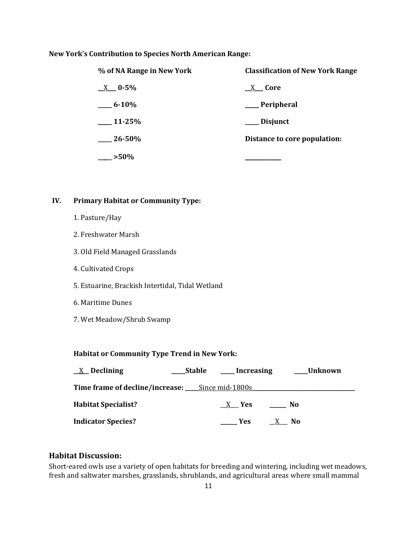### **New York's Contribution to Species North American Range:**

| % of NA Range in New York | <b>Classification of New York Range</b> |
|---------------------------|-----------------------------------------|
| $X = 0.5\%$               | X Core                                  |
| $6 - 10\%$                | ___Peripheral                           |
| $11-25%$                  | ___ Disjunct                            |
| $26 - 50\%$               | Distance to core population:            |
| $-$ >50%                  |                                         |

# **IV. Primary Habitat or Community Type:**

- 1. Pasture/Hay
- 2. Freshwater Marsh
- 3. Old Field Managed Grasslands
- 4. Cultivated Crops
- 5. Estuarine, Brackish Intertidal, Tidal Wetland
- 6. Maritime Dunes
- 7. Wet Meadow/Shrub Swamp

# **Habitat or Community Type Trend in New York:**

| $X$ Declining                                         | <b>_Stable</b> | ____ Increasing   | ___Unknown |  |
|-------------------------------------------------------|----------------|-------------------|------------|--|
| Time frame of decline/increase: _____Since mid-1800s_ |                |                   |            |  |
| <b>Habitat Specialist?</b>                            |                | X Yes             | - No       |  |
| <b>Indicator Species?</b>                             |                | <b>Example SE</b> | X No       |  |

# **Habitat Discussion:**

Short-eared owls use a variety of open habitats for breeding and wintering, including wet meadows, fresh and saltwater marshes, grasslands, shrublands, and agricultural areas where small mammal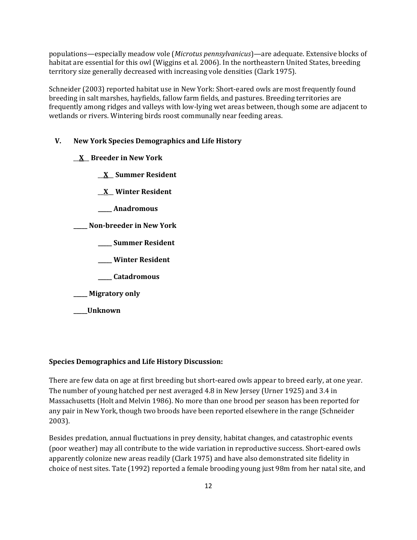populations—especially meadow vole (*Microtus pennsylvanicus*)—are adequate. Extensive blocks of habitat are essential for this owl (Wiggins et al. 2006). In the northeastern United States, breeding territory size generally decreased with increasing vole densities (Clark 1975).

Schneider (2003) reported habitat use in New York: Short-eared owls are most frequently found breeding in salt marshes, hayfields, fallow farm fields, and pastures. Breeding territories are frequently among ridges and valleys with low-lying wet areas between, though some are adjacent to wetlands or rivers. Wintering birds roost communally near feeding areas.

# **V. New York Species Demographics and Life History**

- \_\_**X**\_\_ **Breeder in New York**
	- \_\_**X**\_\_ **Summer Resident**
	- \_\_**X**\_\_ **Winter Resident**
	- **\_\_\_\_\_ Anadromous**

**\_\_\_\_\_ Non-breeder in New York**

- **\_\_\_\_\_ Summer Resident**
- **\_\_\_\_\_ Winter Resident**
- **\_\_\_\_\_ Catadromous**
- **\_\_\_\_\_ Migratory only**
- **\_\_\_\_\_Unknown**

# **Species Demographics and Life History Discussion:**

There are few data on age at first breeding but short-eared owls appear to breed early, at one year. The number of young hatched per nest averaged 4.8 in New Jersey (Urner 1925) and 3.4 in Massachusetts (Holt and Melvin 1986). No more than one brood per season has been reported for any pair in New York, though two broods have been reported elsewhere in the range (Schneider 2003).

Besides predation, annual fluctuations in prey density, habitat changes, and catastrophic events (poor weather) may all contribute to the wide variation in reproductive success. Short-eared owls apparently colonize new areas readily (Clark 1975) and have also demonstrated site fidelity in choice of nest sites. Tate (1992) reported a female brooding young just 98m from her natal site, and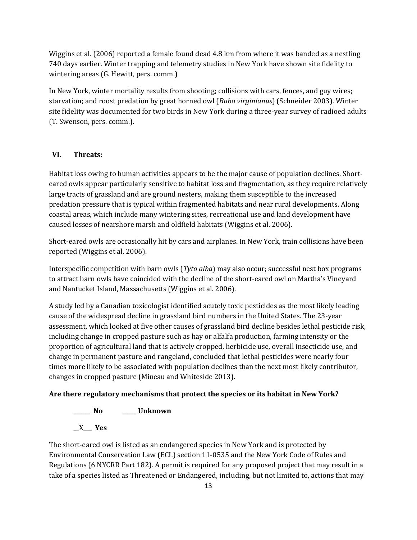Wiggins et al. (2006) reported a female found dead 4.8 km from where it was banded as a nestling 740 days earlier. Winter trapping and telemetry studies in New York have shown site fidelity to wintering areas (G. Hewitt, pers. comm.)

In New York, winter mortality results from shooting; collisions with cars, fences, and guy wires; starvation; and roost predation by great horned owl (*Bubo virginianus*) (Schneider 2003). Winter site fidelity was documented for two birds in New York during a three-year survey of radioed adults (T. Swenson, pers. comm.).

# **VI. Threats:**

Habitat loss owing to human activities appears to be the major cause of population declines. Shorteared owls appear particularly sensitive to habitat loss and fragmentation, as they require relatively large tracts of grassland and are ground nesters, making them susceptible to the increased predation pressure that is typical within fragmented habitats and near rural developments. Along coastal areas, which include many wintering sites, recreational use and land development have caused losses of nearshore marsh and oldfield habitats (Wiggins et al. 2006).

Short-eared owls are occasionally hit by cars and airplanes. In New York, train collisions have been reported (Wiggins et al. 2006).

Interspecific competition with barn owls (*Tyto alba*) may also occur; successful nest box programs to attract barn owls have coincided with the decline of the short-eared owl on Martha's Vineyard and Nantucket Island, Massachusetts (Wiggins et al. 2006).

A study led by a Canadian toxicologist identified acutely toxic pesticides as the most likely leading cause of the widespread decline in grassland bird numbers in the United States. The 23-year assessment, which looked at five other causes of grassland bird decline besides lethal pesticide risk, including change in cropped pasture such as hay or alfalfa production, farming intensity or the proportion of agricultural land that is actively cropped, herbicide use, overall insecticide use, and change in permanent pasture and rangeland, concluded that lethal pesticides were nearly four times more likely to be associated with population declines than the next most likely contributor, changes in cropped pasture (Mineau and Whiteside 2013).

# **Are there regulatory mechanisms that protect the species or its habitat in New York?**

**\_\_\_\_\_\_ No \_\_\_\_\_ Unknown**

**\_**\_X**\_\_\_ Yes**

The short-eared owl is listed as an endangered species in New York and is protected by Environmental Conservation Law (ECL) section 11-0535 and the New York Code of Rules and Regulations (6 NYCRR Part 182). A permit is required for any proposed project that may result in a take of a species listed as Threatened or Endangered, including, but not limited to, actions that may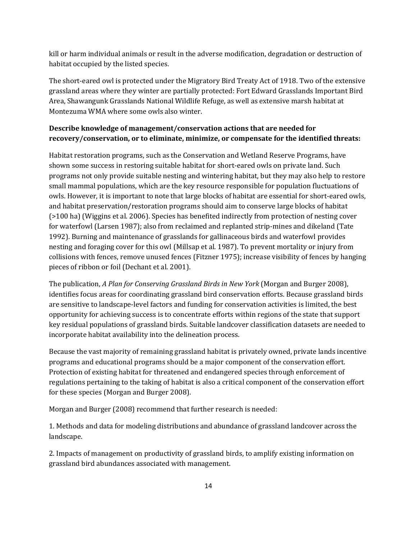kill or harm individual animals or result in the adverse modification, degradation or destruction of habitat occupied by the listed species.

The short-eared owl is protected under the Migratory Bird Treaty Act of 1918. Two of the extensive grassland areas where they winter are partially protected: Fort Edward Grasslands Important Bird Area, Shawangunk Grasslands National Wildlife Refuge, as well as extensive marsh habitat at Montezuma WMA where some owls also winter.

# **Describe knowledge of management/conservation actions that are needed for recovery/conservation, or to eliminate, minimize, or compensate for the identified threats:**

Habitat restoration programs, such as the Conservation and Wetland Reserve Programs, have shown some success in restoring suitable habitat for short-eared owls on private land. Such programs not only provide suitable nesting and wintering habitat, but they may also help to restore small mammal populations, which are the key resource responsible for population fluctuations of owls. However, it is important to note that large blocks of habitat are essential for short-eared owls, and habitat preservation/restoration programs should aim to conserve large blocks of habitat (>100 ha) (Wiggins et al. 2006). Species has benefited indirectly from protection of nesting cover for waterfowl (Larsen 1987); also from reclaimed and replanted strip-mines and dikeland (Tate 1992). Burning and maintenance of grasslands for gallinaceous birds and waterfowl provides nesting and foraging cover for this owl (Millsap et al. 1987). To prevent mortality or injury from collisions with fences, remove unused fences (Fitzner 1975); increase visibility of fences by hanging pieces of ribbon or foil (Dechant et al. 2001).

The publication, *A Plan for Conserving Grassland Birds in New York* (Morgan and Burger 2008), identifies focus areas for coordinating grassland bird conservation efforts. Because grassland birds are sensitive to landscape-level factors and funding for conservation activities is limited, the best opportunity for achieving success is to concentrate efforts within regions of the state that support key residual populations of grassland birds. Suitable landcover classification datasets are needed to incorporate habitat availability into the delineation process.

Because the vast majority of remaining grassland habitat is privately owned, private lands incentive programs and educational programs should be a major component of the conservation effort. Protection of existing habitat for threatened and endangered species through enforcement of regulations pertaining to the taking of habitat is also a critical component of the conservation effort for these species (Morgan and Burger 2008).

Morgan and Burger (2008) recommend that further research is needed:

1. Methods and data for modeling distributions and abundance of grassland landcover across the landscape.

2. Impacts of management on productivity of grassland birds, to amplify existing information on grassland bird abundances associated with management.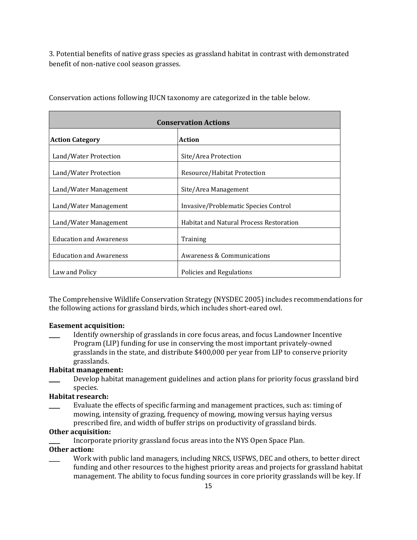3. Potential benefits of native grass species as grassland habitat in contrast with demonstrated benefit of non-native cool season grasses.

| <b>Conservation Actions</b>    |                                                |  |
|--------------------------------|------------------------------------------------|--|
| <b>Action Category</b>         | <b>Action</b>                                  |  |
| Land/Water Protection          | Site/Area Protection                           |  |
| Land/Water Protection          | Resource/Habitat Protection                    |  |
| Land/Water Management          | Site/Area Management                           |  |
| Land/Water Management          | Invasive/Problematic Species Control           |  |
| Land/Water Management          | <b>Habitat and Natural Process Restoration</b> |  |
| <b>Education and Awareness</b> | Training                                       |  |
| <b>Education and Awareness</b> | Awareness & Communications                     |  |
| Law and Policy                 | Policies and Regulations                       |  |

Conservation actions following IUCN taxonomy are categorized in the table below.

The Comprehensive Wildlife Conservation Strategy (NYSDEC 2005) includes recommendations for the following actions for grassland birds, which includes short-eared owl.

# **Easement acquisition:**

\_\_\_\_ Identify ownership of grasslands in core focus areas, and focus Landowner Incentive Program (LIP) funding for use in conserving the most important privately-owned grasslands in the state, and distribute \$400,000 per year from LIP to conserve priority grasslands.

# **Habitat management:**

Develop habitat management guidelines and action plans for priority focus grassland bird species.

# **Habitat research:**

Evaluate the effects of specific farming and management practices, such as: timing of mowing, intensity of grazing, frequency of mowing, mowing versus haying versus prescribed fire, and width of buffer strips on productivity of grassland birds.

# **Other acquisition:**

Incorporate priority grassland focus areas into the NYS Open Space Plan.

## **Other action:**

Work with public land managers, including NRCS, USFWS, DEC and others, to better direct funding and other resources to the highest priority areas and projects for grassland habitat management. The ability to focus funding sources in core priority grasslands will be key. If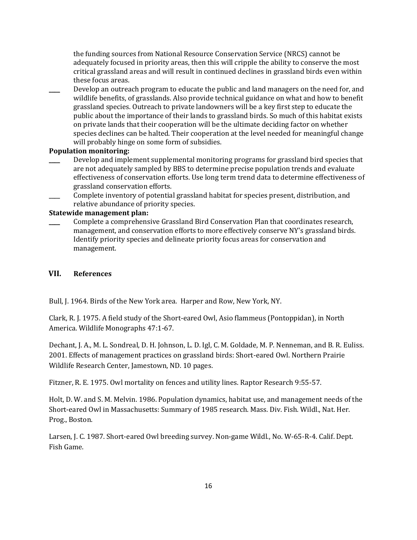the funding sources from National Resource Conservation Service (NRCS) cannot be adequately focused in priority areas, then this will cripple the ability to conserve the most critical grassland areas and will result in continued declines in grassland birds even within these focus areas.

Develop an outreach program to educate the public and land managers on the need for, and wildlife benefits, of grasslands. Also provide technical guidance on what and how to benefit grassland species. Outreach to private landowners will be a key first step to educate the public about the importance of their lands to grassland birds. So much of this habitat exists on private lands that their cooperation will be the ultimate deciding factor on whether species declines can be halted. Their cooperation at the level needed for meaningful change will probably hinge on some form of subsidies.

### **Population monitoring:**

- Develop and implement supplemental monitoring programs for grassland bird species that are not adequately sampled by BBS to determine precise population trends and evaluate effectiveness of conservation efforts. Use long term trend data to determine effectiveness of grassland conservation efforts.
- Complete inventory of potential grassland habitat for species present, distribution, and relative abundance of priority species.

#### **Statewide management plan:**

\_\_\_\_ Complete a comprehensive Grassland Bird Conservation Plan that coordinates research, management, and conservation efforts to more effectively conserve NY's grassland birds. Identify priority species and delineate priority focus areas for conservation and management.

# **VII. References**

Bull, J. 1964. Birds of the New York area. Harper and Row, New York, NY.

Clark, R. J. 1975. A field study of the Short-eared Owl, Asio flammeus (Pontoppidan), in North America. Wildlife Monographs 47:1-67.

Dechant, J. A., M. L. Sondreal, D. H. Johnson, L. D. Igl, C. M. Goldade, M. P. Nenneman, and B. R. Euliss. 2001. Effects of management practices on grassland birds: Short-eared Owl. Northern Prairie Wildlife Research Center, Jamestown, ND. 10 pages.

Fitzner, R. E. 1975. Owl mortality on fences and utility lines. Raptor Research 9:55-57.

Holt, D. W. and S. M. Melvin. 1986. Population dynamics, habitat use, and management needs of the Short-eared Owl in Massachusetts: Summary of 1985 research. Mass. Div. Fish. Wildl., Nat. Her. Prog., Boston.

Larsen, J. C. 1987. Short-eared Owl breeding survey. Non-game Wildl., No. W-65-R-4. Calif. Dept. Fish Game.